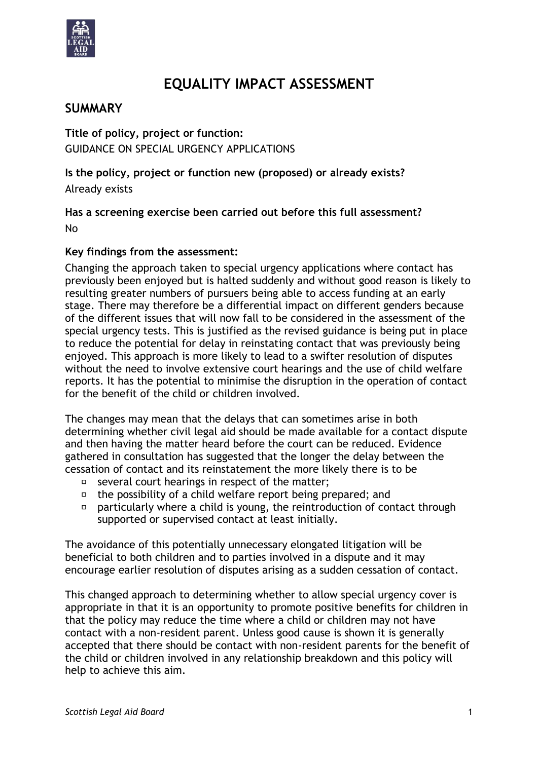

# **EQUALITY IMPACT ASSESSMENT**

# **SUMMARY**

**Title of policy, project or function:** GUIDANCE ON SPECIAL URGENCY APPLICATIONS

**Is the policy, project or function new (proposed) or already exists?**  Already exists

**Has a screening exercise been carried out before this full assessment?** No

#### **Key findings from the assessment:**

Changing the approach taken to special urgency applications where contact has previously been enjoyed but is halted suddenly and without good reason is likely to resulting greater numbers of pursuers being able to access funding at an early stage. There may therefore be a differential impact on different genders because of the different issues that will now fall to be considered in the assessment of the special urgency tests. This is justified as the revised guidance is being put in place to reduce the potential for delay in reinstating contact that was previously being enjoyed. This approach is more likely to lead to a swifter resolution of disputes without the need to involve extensive court hearings and the use of child welfare reports. It has the potential to minimise the disruption in the operation of contact for the benefit of the child or children involved.

The changes may mean that the delays that can sometimes arise in both determining whether civil legal aid should be made available for a contact dispute and then having the matter heard before the court can be reduced. Evidence gathered in consultation has suggested that the longer the delay between the cessation of contact and its reinstatement the more likely there is to be

- $\Box$  several court hearings in respect of the matter;
- $\Box$  the possibility of a child welfare report being prepared; and
- $\Box$ particularly where a child is young, the reintroduction of contact through supported or supervised contact at least initially.

The avoidance of this potentially unnecessary elongated litigation will be beneficial to both children and to parties involved in a dispute and it may encourage earlier resolution of disputes arising as a sudden cessation of contact.

This changed approach to determining whether to allow special urgency cover is appropriate in that it is an opportunity to promote positive benefits for children in that the policy may reduce the time where a child or children may not have contact with a non-resident parent. Unless good cause is shown it is generally accepted that there should be contact with non-resident parents for the benefit of the child or children involved in any relationship breakdown and this policy will help to achieve this aim.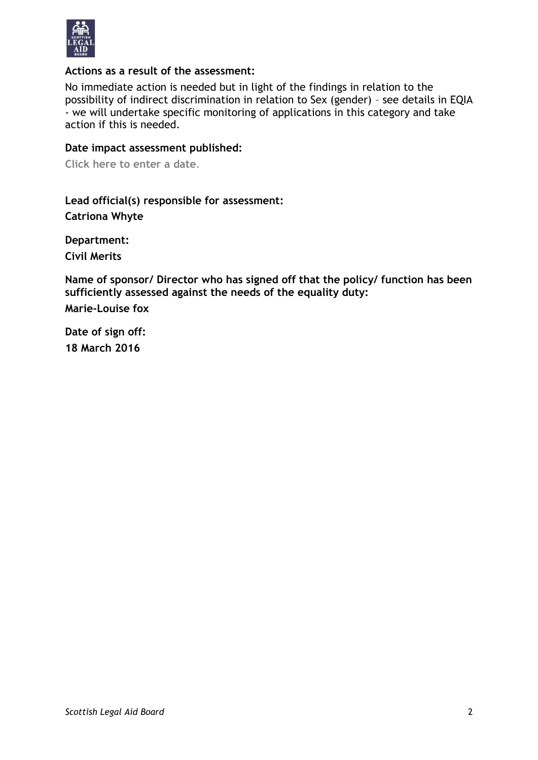

#### **Actions as a result of the assessment:**

No immediate action is needed but in light of the findings in relation to the possibility of indirect discrimination in relation to Sex (gender) – see details in EQIA - we will undertake specific monitoring of applications in this category and take action if this is needed.

#### **Date impact assessment published:**

**Click here to enter a date**.

**Lead official(s) responsible for assessment: Catriona Whyte**

**Department: Civil Merits**

**Name of sponsor/ Director who has signed off that the policy/ function has been sufficiently assessed against the needs of the equality duty:**

**Marie-Louise fox**

**Date of sign off: 18 March 2016**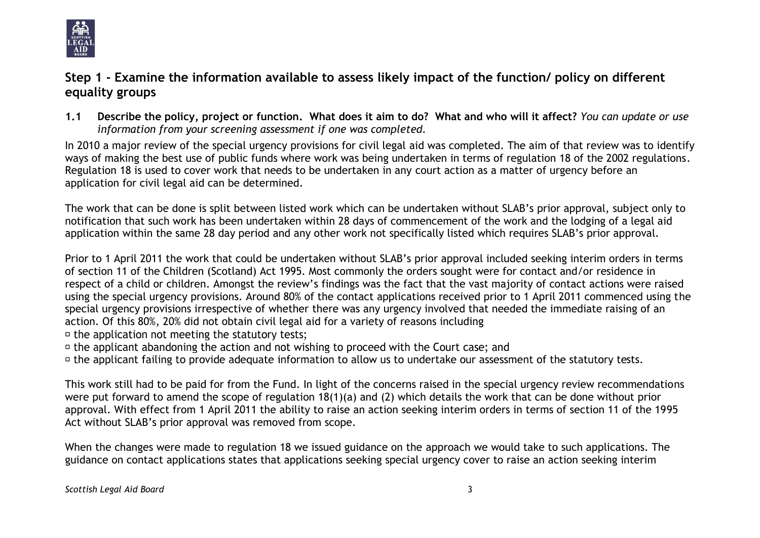

# **Step 1 - Examine the information available to assess likely impact of the function/ policy on different equality groups**

**1.1 Describe the policy, project or function. What does it aim to do? What and who will it affect?** *You can update or use information from your screening assessment if one was completed.*

In 2010 a major review of the special urgency provisions for civil legal aid was completed. The aim of that review was to identify ways of making the best use of public funds where work was being undertaken in terms of regulation 18 of the 2002 regulations. Regulation 18 is used to cover work that needs to be undertaken in any court action as a matter of urgency before an application for civil legal aid can be determined.

The work that can be done is split between listed work which can be undertaken without SLAB's prior approval, subject only to notification that such work has been undertaken within 28 days of commencement of the work and the lodging of a legal aid application within the same 28 day period and any other work not specifically listed which requires SLAB's prior approval.

Prior to 1 April 2011 the work that could be undertaken without SLAB's prior approval included seeking interim orders in terms of section 11 of the Children (Scotland) Act 1995. Most commonly the orders sought were for contact and/or residence in respect of a child or children. Amongst the review's findings was the fact that the vast majority of contact actions were raised using the special urgency provisions. Around 80% of the contact applications received prior to 1 April 2011 commenced using the special urgency provisions irrespective of whether there was any urgency involved that needed the immediate raising of an action. Of this 80%, 20% did not obtain civil legal aid for a variety of reasons including

- <sup> $\square$ </sup> the application not meeting the statutory tests;
- <sup> $\sigma$ </sup> the applicant abandoning the action and not wishing to proceed with the Court case; and
- $\sigma$  the applicant failing to provide adequate information to allow us to undertake our assessment of the statutory tests.

This work still had to be paid for from the Fund. In light of the concerns raised in the special urgency review recommendations were put forward to amend the scope of regulation 18(1)(a) and (2) which details the work that can be done without prior approval. With effect from 1 April 2011 the ability to raise an action seeking interim orders in terms of section 11 of the 1995 Act without SLAB's prior approval was removed from scope.

When the changes were made to regulation 18 we issued guidance on the approach we would take to such applications. The guidance on contact applications states that applications seeking special urgency cover to raise an action seeking interim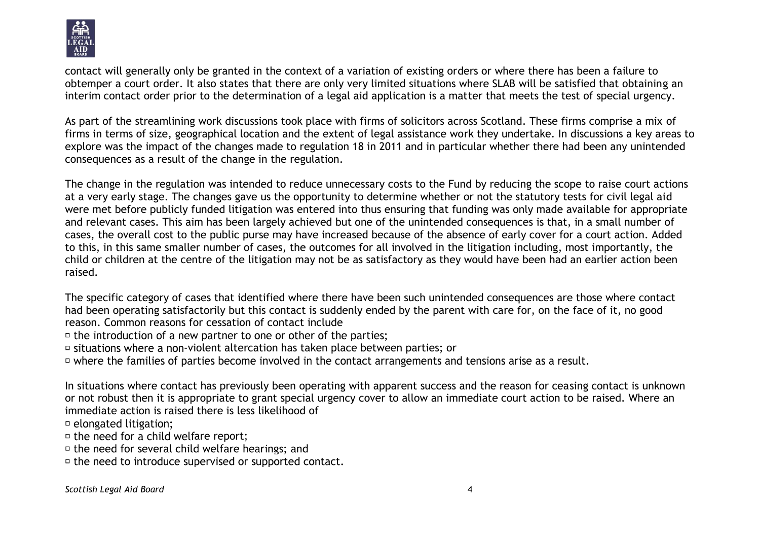

contact will generally only be granted in the context of a variation of existing orders or where there has been a failure to obtemper a court order. It also states that there are only very limited situations where SLAB will be satisfied that obtaining an interim contact order prior to the determination of a legal aid application is a matter that meets the test of special urgency.

As part of the streamlining work discussions took place with firms of solicitors across Scotland. These firms comprise a mix of firms in terms of size, geographical location and the extent of legal assistance work they undertake. In discussions a key areas to explore was the impact of the changes made to regulation 18 in 2011 and in particular whether there had been any unintended consequences as a result of the change in the regulation.

The change in the regulation was intended to reduce unnecessary costs to the Fund by reducing the scope to raise court actions at a very early stage. The changes gave us the opportunity to determine whether or not the statutory tests for civil legal aid were met before publicly funded litigation was entered into thus ensuring that funding was only made available for appropriate and relevant cases. This aim has been largely achieved but one of the unintended consequences is that, in a small number of cases, the overall cost to the public purse may have increased because of the absence of early cover for a court action. Added to this, in this same smaller number of cases, the outcomes for all involved in the litigation including, most importantly, the child or children at the centre of the litigation may not be as satisfactory as they would have been had an earlier action been raised.

The specific category of cases that identified where there have been such unintended consequences are those where contact had been operating satisfactorily but this contact is suddenly ended by the parent with care for, on the face of it, no good reason. Common reasons for cessation of contact include

<sup> $\sigma$ </sup> the introduction of a new partner to one or other of the parties;

 $\overline{v}$  situations where a non-violent altercation has taken place between parties; or

□ where the families of parties become involved in the contact arrangements and tensions arise as a result.

In situations where contact has previously been operating with apparent success and the reason for ceasing contact is unknown or not robust then it is appropriate to grant special urgency cover to allow an immediate court action to be raised. Where an immediate action is raised there is less likelihood of

 $\Box$  elongated litigation;

 $\Box$  the need for a child welfare report;

 $\overline{p}$  the need for several child welfare hearings: and

<sup> $\square$ </sup> the need to introduce supervised or supported contact.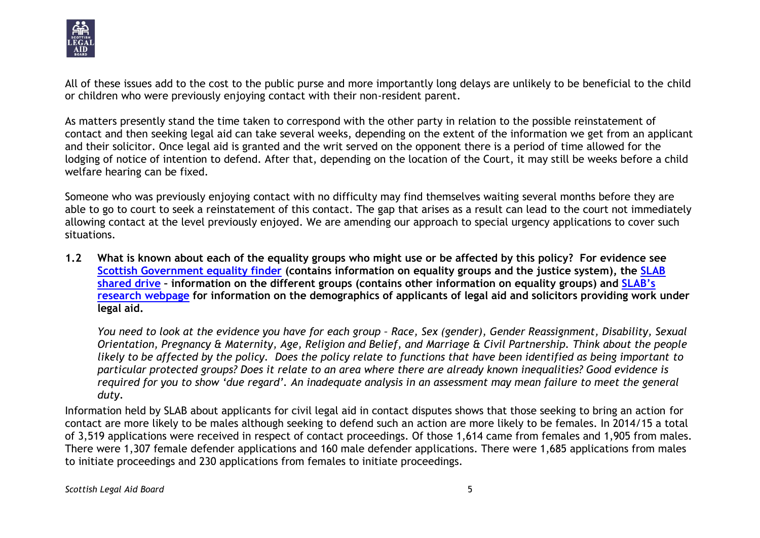

All of these issues add to the cost to the public purse and more importantly long delays are unlikely to be beneficial to the child or children who were previously enjoying contact with their non-resident parent.

As matters presently stand the time taken to correspond with the other party in relation to the possible reinstatement of contact and then seeking legal aid can take several weeks, depending on the extent of the information we get from an applicant and their solicitor. Once legal aid is granted and the writ served on the opponent there is a period of time allowed for the lodging of notice of intention to defend. After that, depending on the location of the Court, it may still be weeks before a child welfare hearing can be fixed.

Someone who was previously enjoying contact with no difficulty may find themselves waiting several months before they are able to go to court to seek a reinstatement of this contact. The gap that arises as a result can lead to the court not immediately allowing contact at the level previously enjoyed. We are amending our approach to special urgency applications to cover such situations.

**1.2 What is known about each of the equality groups who might use or be affected by this policy? For evidence see [Scottish Government equality finder](http://www.scotland.gov.uk/Topics/People/Equality/Equalities/DataGrid) (contains information on equality groups and the justice system), the [SLAB](file://///cifssata/Common/Common/Shared/Equalities/Equality%20information/The%20different%20equality%20groups)  [shared drive](file://///cifssata/Common/Common/Shared/Equalities/Equality%20information/The%20different%20equality%20groups) – information on the different groups (contains other information on equality groups) and [SLAB's](http://www.slab.org.uk/about-us/what-we-do/research/index.html)  [research webpage](http://www.slab.org.uk/about-us/what-we-do/research/index.html) for information on the demographics of applicants of legal aid and solicitors providing work under legal aid.**

*You need to look at the evidence you have for each group – Race, Sex (gender), Gender Reassignment, Disability, Sexual Orientation, Pregnancy & Maternity, Age, Religion and Belief, and Marriage & Civil Partnership. Think about the people likely to be affected by the policy. Does the policy relate to functions that have been identified as being important to particular protected groups? Does it relate to an area where there are already known inequalities? Good evidence is required for you to show 'due regard'. An inadequate analysis in an assessment may mean failure to meet the general duty.*

Information held by SLAB about applicants for civil legal aid in contact disputes shows that those seeking to bring an action for contact are more likely to be males although seeking to defend such an action are more likely to be females. In 2014/15 a total of 3,519 applications were received in respect of contact proceedings. Of those 1,614 came from females and 1,905 from males. There were 1,307 female defender applications and 160 male defender applications. There were 1,685 applications from males to initiate proceedings and 230 applications from females to initiate proceedings.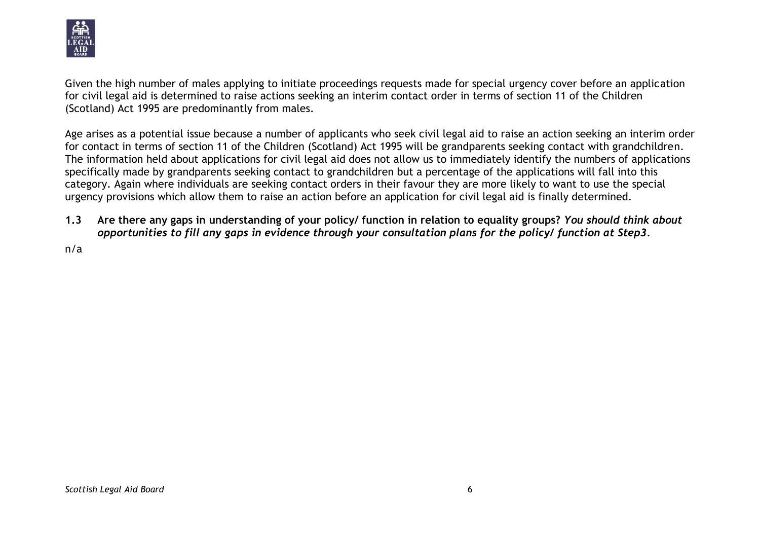

Given the high number of males applying to initiate proceedings requests made for special urgency cover before an application for civil legal aid is determined to raise actions seeking an interim contact order in terms of section 11 of the Children (Scotland) Act 1995 are predominantly from males.

Age arises as a potential issue because a number of applicants who seek civil legal aid to raise an action seeking an interim order for contact in terms of section 11 of the Children (Scotland) Act 1995 will be grandparents seeking contact with grandchildren. The information held about applications for civil legal aid does not allow us to immediately identify the numbers of applications specifically made by grandparents seeking contact to grandchildren but a percentage of the applications will fall into this category. Again where individuals are seeking contact orders in their favour they are more likely to want to use the special urgency provisions which allow them to raise an action before an application for civil legal aid is finally determined.

**1.3 Are there any gaps in understanding of your policy/ function in relation to equality groups?** *You should think about opportunities to fill any gaps in evidence through your consultation plans for the policy/ function at Step3.*

n/a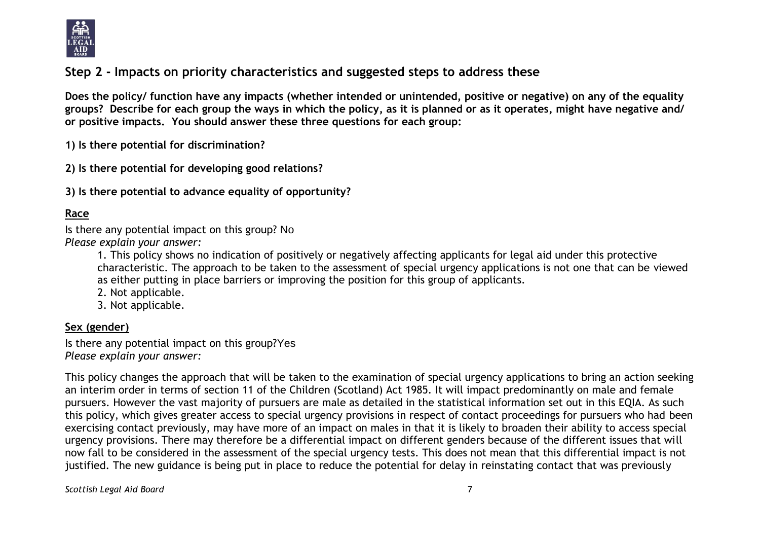

# **Step 2 - Impacts on priority characteristics and suggested steps to address these**

**Does the policy/ function have any impacts (whether intended or unintended, positive or negative) on any of the equality groups? Describe for each group the ways in which the policy, as it is planned or as it operates, might have negative and/ or positive impacts. You should answer these three questions for each group:** 

**1) Is there potential for discrimination?** 

**2) Is there potential for developing good relations?**

**3) Is there potential to advance equality of opportunity?**

# **Race**

Is there any potential impact on this group? No *Please explain your answer:*

> 1. This policy shows no indication of positively or negatively affecting applicants for legal aid under this protective characteristic. The approach to be taken to the assessment of special urgency applications is not one that can be viewed as either putting in place barriers or improving the position for this group of applicants.

- 2. Not applicable.
- 3. Not applicable.

# **Sex (gender)**

Is there any potential impact on this group?Yes *Please explain your answer:*

This policy changes the approach that will be taken to the examination of special urgency applications to bring an action seeking an interim order in terms of section 11 of the Children (Scotland) Act 1985. It will impact predominantly on male and female pursuers. However the vast majority of pursuers are male as detailed in the statistical information set out in this EQIA. As such this policy, which gives greater access to special urgency provisions in respect of contact proceedings for pursuers who had been exercising contact previously, may have more of an impact on males in that it is likely to broaden their ability to access special urgency provisions. There may therefore be a differential impact on different genders because of the different issues that will now fall to be considered in the assessment of the special urgency tests. This does not mean that this differential impact is not justified. The new guidance is being put in place to reduce the potential for delay in reinstating contact that was previously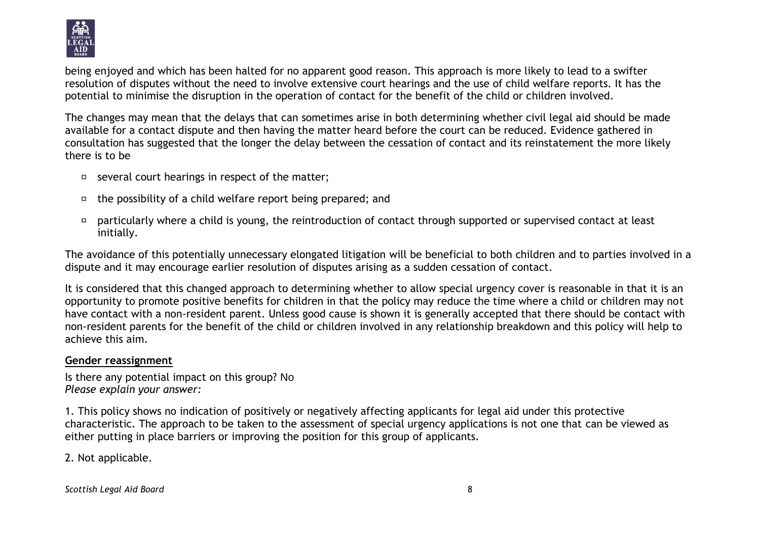

being enjoyed and which has been halted for no apparent good reason. This approach is more likely to lead to a swifter resolution of disputes without the need to involve extensive court hearings and the use of child welfare reports. It has the potential to minimise the disruption in the operation of contact for the benefit of the child or children involved.

The changes may mean that the delays that can sometimes arise in both determining whether civil legal aid should be made available for a contact dispute and then having the matter heard before the court can be reduced. Evidence gathered in consultation has suggested that the longer the delay between the cessation of contact and its reinstatement the more likely there is to be

- $\Box$  several court hearings in respect of the matter;
- $\Box$  the possibility of a child welfare report being prepared; and
- particularly where a child is young, the reintroduction of contact through supported or supervised contact at least  $\Box$ initially.

The avoidance of this potentially unnecessary elongated litigation will be beneficial to both children and to parties involved in a dispute and it may encourage earlier resolution of disputes arising as a sudden cessation of contact.

It is considered that this changed approach to determining whether to allow special urgency cover is reasonable in that it is an opportunity to promote positive benefits for children in that the policy may reduce the time where a child or children may not have contact with a non-resident parent. Unless good cause is shown it is generally accepted that there should be contact with non-resident parents for the benefit of the child or children involved in any relationship breakdown and this policy will help to achieve this aim.

#### **Gender reassignment**

Is there any potential impact on this group? No *Please explain your answer:*

1. This policy shows no indication of positively or negatively affecting applicants for legal aid under this protective characteristic. The approach to be taken to the assessment of special urgency applications is not one that can be viewed as either putting in place barriers or improving the position for this group of applicants.

2. Not applicable.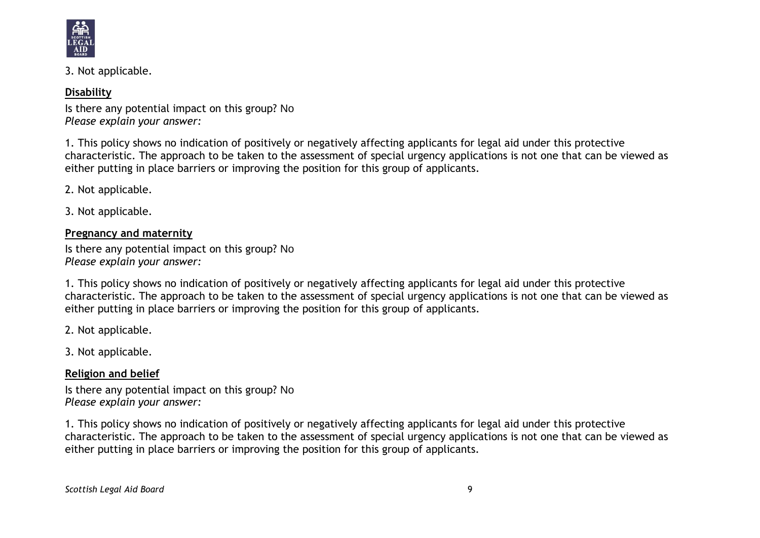

3. Not applicable.

### **Disability**

Is there any potential impact on this group? No *Please explain your answer:*

1. This policy shows no indication of positively or negatively affecting applicants for legal aid under this protective characteristic. The approach to be taken to the assessment of special urgency applications is not one that can be viewed as either putting in place barriers or improving the position for this group of applicants.

2. Not applicable.

3. Not applicable.

**Pregnancy and maternity**

Is there any potential impact on this group? No *Please explain your answer:*

1. This policy shows no indication of positively or negatively affecting applicants for legal aid under this protective characteristic. The approach to be taken to the assessment of special urgency applications is not one that can be viewed as either putting in place barriers or improving the position for this group of applicants.

2. Not applicable.

3. Not applicable.

**Religion and belief**

Is there any potential impact on this group? No *Please explain your answer:*

1. This policy shows no indication of positively or negatively affecting applicants for legal aid under this protective characteristic. The approach to be taken to the assessment of special urgency applications is not one that can be viewed as either putting in place barriers or improving the position for this group of applicants.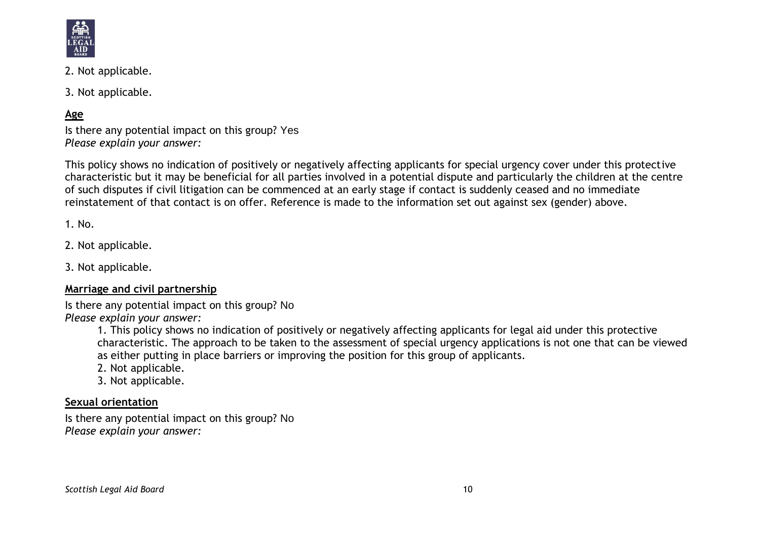

- 2. Not applicable.
- 3. Not applicable.

# **Age**

Is there any potential impact on this group? Yes *Please explain your answer:*

This policy shows no indication of positively or negatively affecting applicants for special urgency cover under this protective characteristic but it may be beneficial for all parties involved in a potential dispute and particularly the children at the centre of such disputes if civil litigation can be commenced at an early stage if contact is suddenly ceased and no immediate reinstatement of that contact is on offer. Reference is made to the information set out against sex (gender) above.

1. No.

2. Not applicable.

3. Not applicable.

#### **Marriage and civil partnership**

Is there any potential impact on this group? No

*Please explain your answer:*

1. This policy shows no indication of positively or negatively affecting applicants for legal aid under this protective characteristic. The approach to be taken to the assessment of special urgency applications is not one that can be viewed as either putting in place barriers or improving the position for this group of applicants.

- 2. Not applicable.
- 3. Not applicable.

### **Sexual orientation**

Is there any potential impact on this group? No *Please explain your answer:*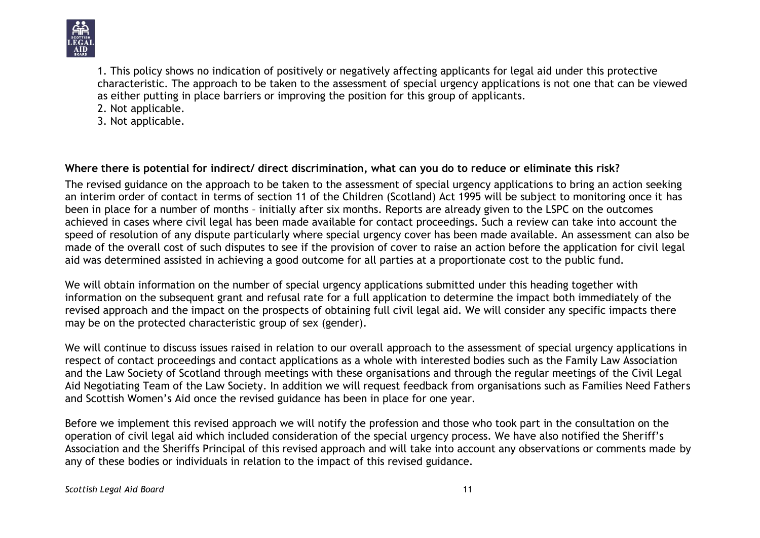

1. This policy shows no indication of positively or negatively affecting applicants for legal aid under this protective characteristic. The approach to be taken to the assessment of special urgency applications is not one that can be viewed as either putting in place barriers or improving the position for this group of applicants.

2. Not applicable.

3. Not applicable.

# **Where there is potential for indirect/ direct discrimination, what can you do to reduce or eliminate this risk?**

The revised guidance on the approach to be taken to the assessment of special urgency applications to bring an action seeking an interim order of contact in terms of section 11 of the Children (Scotland) Act 1995 will be subject to monitoring once it has been in place for a number of months – initially after six months. Reports are already given to the LSPC on the outcomes achieved in cases where civil legal has been made available for contact proceedings. Such a review can take into account the speed of resolution of any dispute particularly where special urgency cover has been made available. An assessment can also be made of the overall cost of such disputes to see if the provision of cover to raise an action before the application for civil legal aid was determined assisted in achieving a good outcome for all parties at a proportionate cost to the public fund.

We will obtain information on the number of special urgency applications submitted under this heading together with information on the subsequent grant and refusal rate for a full application to determine the impact both immediately of the revised approach and the impact on the prospects of obtaining full civil legal aid. We will consider any specific impacts there may be on the protected characteristic group of sex (gender).

We will continue to discuss issues raised in relation to our overall approach to the assessment of special urgency applications in respect of contact proceedings and contact applications as a whole with interested bodies such as the Family Law Association and the Law Society of Scotland through meetings with these organisations and through the regular meetings of the Civil Legal Aid Negotiating Team of the Law Society. In addition we will request feedback from organisations such as Families Need Fathers and Scottish Women's Aid once the revised guidance has been in place for one year.

Before we implement this revised approach we will notify the profession and those who took part in the consultation on the operation of civil legal aid which included consideration of the special urgency process. We have also notified the Sheriff's Association and the Sheriffs Principal of this revised approach and will take into account any observations or comments made by any of these bodies or individuals in relation to the impact of this revised guidance.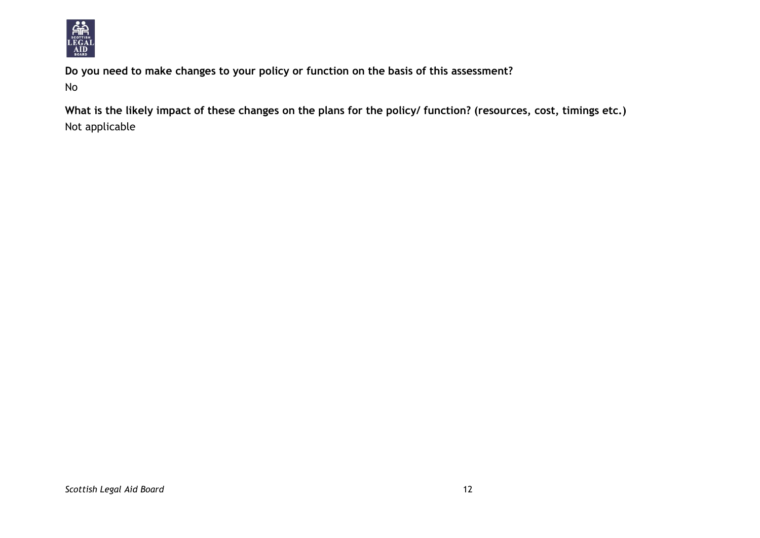

**Do you need to make changes to your policy or function on the basis of this assessment?** No

**What is the likely impact of these changes on the plans for the policy/ function? (resources, cost, timings etc.)** Not applicable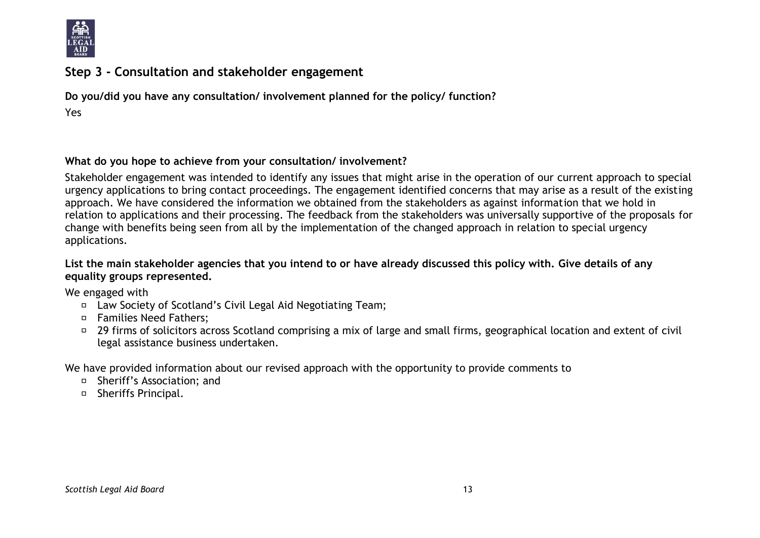

# **Step 3 - Consultation and stakeholder engagement**

**Do you/did you have any consultation/ involvement planned for the policy/ function?** Yes

#### **What do you hope to achieve from your consultation/ involvement?**

Stakeholder engagement was intended to identify any issues that might arise in the operation of our current approach to special urgency applications to bring contact proceedings. The engagement identified concerns that may arise as a result of the existing approach. We have considered the information we obtained from the stakeholders as against information that we hold in relation to applications and their processing. The feedback from the stakeholders was universally supportive of the proposals for change with benefits being seen from all by the implementation of the changed approach in relation to special urgency applications.

#### **List the main stakeholder agencies that you intend to or have already discussed this policy with. Give details of any equality groups represented.**

We engaged with

- Law Society of Scotland's Civil Legal Aid Negotiating Team;
- □ Families Need Fathers:
- □ 29 firms of solicitors across Scotland comprising a mix of large and small firms, geographical location and extent of civil legal assistance business undertaken.

We have provided information about our revised approach with the opportunity to provide comments to

- □ Sheriff's Association: and
- □ Sheriffs Principal.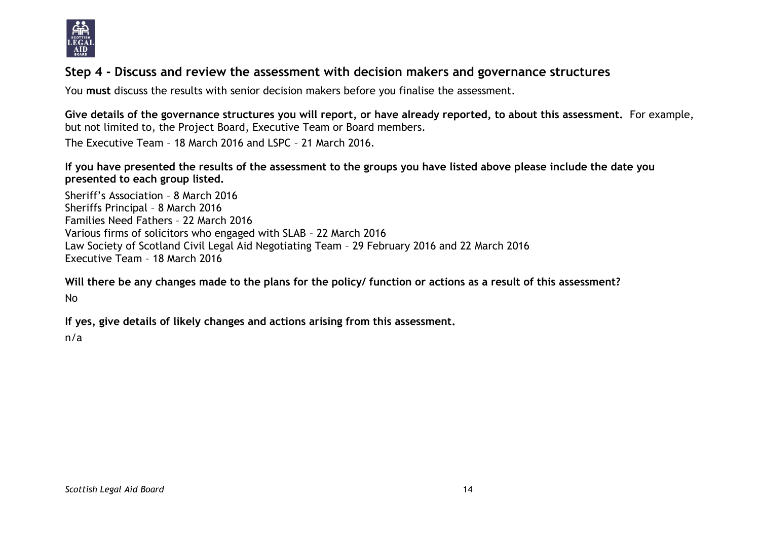

# **Step 4 - Discuss and review the assessment with decision makers and governance structures**

You **must** discuss the results with senior decision makers before you finalise the assessment.

**Give details of the governance structures you will report, or have already reported, to about this assessment.** For example, but not limited to, the Project Board, Executive Team or Board members.

The Executive Team – 18 March 2016 and LSPC – 21 March 2016.

**If you have presented the results of the assessment to the groups you have listed above please include the date you presented to each group listed.**

Sheriff's Association – 8 March 2016 Sheriffs Principal – 8 March 2016 Families Need Fathers – 22 March 2016 Various firms of solicitors who engaged with SLAB – 22 March 2016 Law Society of Scotland Civil Legal Aid Negotiating Team – 29 February 2016 and 22 March 2016 Executive Team – 18 March 2016

**Will there be any changes made to the plans for the policy/ function or actions as a result of this assessment?** No

**If yes, give details of likely changes and actions arising from this assessment.**

n/a